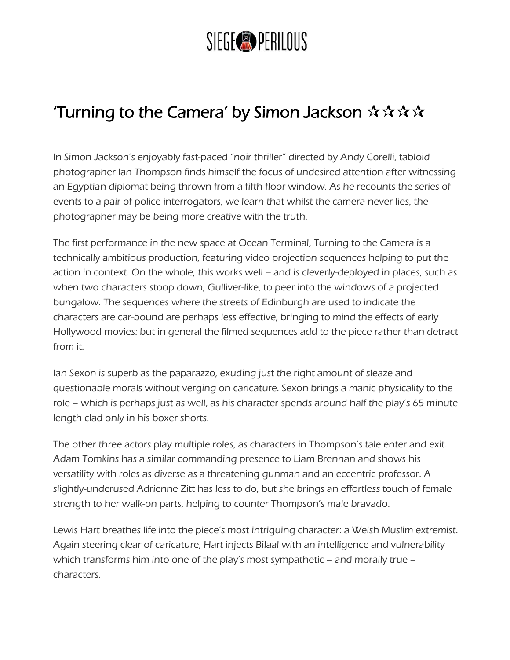## SIEGE<sup>®</sup>PERILOUS

## Turning to the Camera' by Simon Jackson  $\mathbf{\hat{x}} \mathbf{\hat{x}} \mathbf{\hat{x}}$

In Simon Jackson's enjoyably fast-paced "noir thriller" directed by Andy Corelli, tabloid photographer Ian Thompson finds himself the focus of undesired attention after witnessing an Egyptian diplomat being thrown from a fifth-floor window. As he recounts the series of events to a pair of police interrogators, we learn that whilst the camera never lies, the photographer may be being more creative with the truth.

The first performance in the new space at Ocean Terminal, Turning to the Camera is a technically ambitious production, featuring video projection sequences helping to put the action in context. On the whole, this works well – and is cleverly-deployed in places, such as when two characters stoop down, Gulliver-like, to peer into the windows of a projected bungalow. The sequences where the streets of Edinburgh are used to indicate the characters are car-bound are perhaps less effective, bringing to mind the effects of early Hollywood movies: but in general the filmed sequences add to the piece rather than detract from it.

Ian Sexon is superb as the paparazzo, exuding just the right amount of sleaze and questionable morals without verging on caricature. Sexon brings a manic physicality to the role – which is perhaps just as well, as his character spends around half the play's 65 minute length clad only in his boxer shorts.

The other three actors play multiple roles, as characters in Thompson's tale enter and exit. Adam Tomkins has a similar commanding presence to Liam Brennan and shows his versatility with roles as diverse as a threatening gunman and an eccentric professor. A slightly-underused Adrienne Zitt has less to do, but she brings an effortless touch of female strength to her walk-on parts, helping to counter Thompson's male bravado.

Lewis Hart breathes life into the piece's most intriguing character: a Welsh Muslim extremist. Again steering clear of caricature, Hart injects Bilaal with an intelligence and vulnerability which transforms him into one of the play's most sympathetic – and morally true – characters.